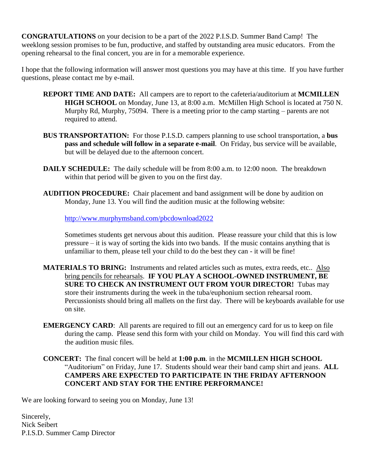**CONGRATULATIONS** on your decision to be a part of the 2022 P.I.S.D. Summer Band Camp! The weeklong session promises to be fun, productive, and staffed by outstanding area music educators. From the opening rehearsal to the final concert, you are in for a memorable experience.

I hope that the following information will answer most questions you may have at this time. If you have further questions, please contact me by e-mail.

- **REPORT TIME AND DATE:** All campers are to report to the cafeteria/auditorium at **MCMILLEN HIGH SCHOOL** on Monday, June 13, at 8:00 a.m. McMillen High School is located at 750 N. Murphy Rd, Murphy, 75094. There is a meeting prior to the camp starting – parents are not required to attend.
- **BUS TRANSPORTATION:** For those P.I.S.D. campers planning to use school transportation, a **bus pass and schedule will follow in a separate e-mail**. On Friday, bus service will be available, but will be delayed due to the afternoon concert.
- **DAILY SCHEDULE:** The daily schedule will be from 8:00 a.m. to 12:00 noon. The breakdown within that period will be given to you on the first day.
- **AUDITION PROCEDURE:** Chair placement and band assignment will be done by audition on Monday, June 13. You will find the audition music at the following website:

<http://www.murphymsband.com/pbcdownload2022>

Sometimes students get nervous about this audition. Please reassure your child that this is low pressure – it is way of sorting the kids into two bands. If the music contains anything that is unfamiliar to them, please tell your child to do the best they can - it will be fine!

- **MATERIALS TO BRING:** Instruments and related articles such as mutes, extra reeds, etc.. Also bring pencils for rehearsals. **IF YOU PLAY A SCHOOL-OWNED INSTRUMENT, BE SURE TO CHECK AN INSTRUMENT OUT FROM YOUR DIRECTOR!** Tubas may store their instruments during the week in the tuba/euphonium section rehearsal room. Percussionists should bring all mallets on the first day. There will be keyboards available for use on site.
- **EMERGENCY CARD**: All parents are required to fill out an emergency card for us to keep on file during the camp. Please send this form with your child on Monday. You will find this card with the audition music files.
- **CONCERT:** The final concert will be held at **1:00 p.m**. in the **MCMILLEN HIGH SCHOOL** "Auditorium" on Friday, June 17. Students should wear their band camp shirt and jeans. **ALL CAMPERS ARE EXPECTED TO PARTICIPATE IN THE FRIDAY AFTERNOON CONCERT AND STAY FOR THE ENTIRE PERFORMANCE!**

We are looking forward to seeing you on Monday, June 13!

Sincerely, Nick Seibert P.I.S.D. Summer Camp Director